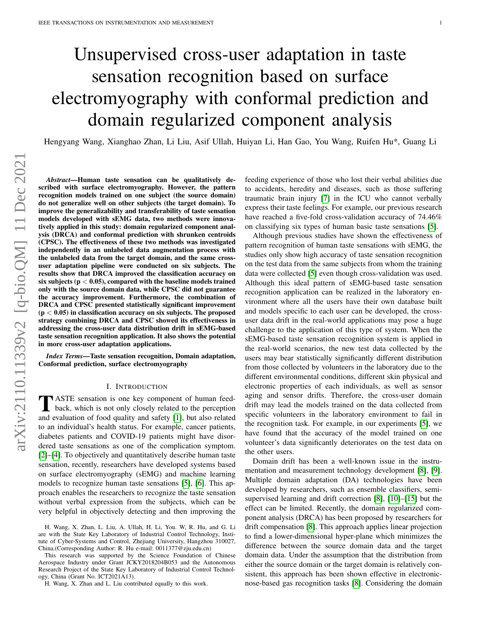# Unsupervised cross-user adaptation in taste sensation recognition based on surface electromyography with conformal prediction and domain regularized component analysis

Hengyang Wang, Xianghao Zhan, Li Liu, Asif Ullah, Huiyan Li, Han Gao, You Wang, Ruifen Hu\*, Guang Li

*Abstract*—Human taste sensation can be qualitatively described with surface electromyography. However, the pattern recognition models trained on one subject (the source domain) do not generalize well on other subjects (the target domain). To improve the generalizability and transferability of taste sensation models developed with sEMG data, two methods were innovatively applied in this study: domain regularized component analysis (DRCA) and conformal prediction with shrunken centroids (CPSC). The effectiveness of these two methods was investigated independently in an unlabeled data augmentation process with the unlabeled data from the target domain, and the same crossuser adaptation pipeline were conducted on six subjects. The results show that DRCA improved the classification accuracy on six subjects ( $p < 0.05$ ), compared with the baseline models trained only with the source domain data, while CPSC did not guarantee the accuracy improvement. Furthermore, the combination of DRCA and CPSC presented statistically significant improvement  $(p < 0.05)$  in classification accuracy on six subjects. The proposed strategy combining DRCA and CPSC showed its effectiveness in addressing the cross-user data distribution drift in sEMG-based taste sensation recognition application. It also shows the potential in more cross-user adaptation applications.

*Index Terms*—Taste sensation recognition, Domain adaptation, Conformal prediction, surface electromyography

#### I. INTRODUCTION

**T** ASTE sensation is one key component of human feed-<br>back, which is not only closely related to the perception ASTE sensation is one key component of human feedand evaluation of food quality and safety [\[1\]](#page-8-0), but also related to an individual's health status. For example, cancer patients, diabetes patients and COVID-19 patients might have disordered taste sensations as one of the complication symptom. [\[2\]](#page-8-1)–[\[4\]](#page-8-2). To objectively and quantitatively describe human taste sensation, recently, researchers have developed systems based on surface electromyography (sEMG) and machine learning models to recognize human taste sensations [\[5\]](#page-8-3), [\[6\]](#page-8-4). This approach enables the researchers to recognize the taste sensation without verbal expression from the subjects, which can be very helpful in objectively detecting and then improving the

This research was supported by the Science Foundation of Chinese Aerospace Industry under Grant JCKY2018204B053 and the Autonomous Research Project of the State Key Laboratory of Industrial Control Technology, China (Grant No. ICT2021A13).

H. Wang, X. Zhan and L. Liu contributed equally to this work.

feeding experience of those who lost their verbal abilities due to accidents, heredity and diseases, such as those suffering traumatic brain injury [\[7\]](#page-8-5) in the ICU who cannot verbally express their taste feelings. For example, our previous research have reached a five-fold cross-validation accuracy of 74.46% on classifying six types of human basic taste sensations [\[5\]](#page-8-3).

Although previous studies have shown the effectiveness of pattern recognition of human taste sensations with sEMG, the studies only show high accuracy of taste sensation recognition on the test data from the same subjects from whom the training data were collected [\[5\]](#page-8-3) even though cross-validation was used. Although this ideal pattern of sEMG-based taste sensation recognition application can be realized in the laboratory environment where all the users have their own database built and models specific to each user can be developed, the crossuser data drift in the real-world applications may pose a huge challenge to the application of this type of system. When the sEMG-based taste sensation recognition system is applied in the real-world scenarios, the new test data collected by the users may bear statistically significantly different distribution from those collected by volunteers in the laboratory due to the different environmental conditions, different skin physical and electronic properties of each individuals, as well as sensor aging and sensor drifts. Therefore, the cross-user domain drift may lead the models trained on the data collected from specific volunteers in the laboratory environment to fail in the recognition task. For example, in our experiments [\[5\]](#page-8-3), we have found that the accuracy of the model trained on one volunteer's data significantly deteriorates on the test data on the other users.

Domain drift has been a well-known issue in the instrumentation and measurement technology development [\[8\]](#page-8-6), [\[9\]](#page-8-7). Multiple domain adaptation (DA) technologies have been developed by researchers, such as ensemble classifiers, semisupervised learning and drift correction [\[8\]](#page-8-6), [\[10\]](#page-8-8)–[\[15\]](#page-9-0) but the effect can be limited. Recently, the domain regularized component analysis (DRCA) has been proposed by researchers for drift compensation [\[8\]](#page-8-6). This approach applies linear projection to find a lower-dimensional hyper-plane which minimizes the difference between the source domain data and the target domain data. Under the assumption that the distribution from either the source domain or the target domain is relatively consistent, this approach has been shown effective in electronicnose-based gas recognition tasks [\[8\]](#page-8-6). Considering the domain

H. Wang, X. Zhan, L. Liu, A. Ullah, H. Li, You. W, R. Hu, and G. Li are with the State Key Laboratory of Industrial Control Technology, Institute of Cyber-Systems and Control, Zhejiang University, Hangzhou 310027, China.(Corresponding Author: R. Hu e-mail: 0011377@zju.edu.cn)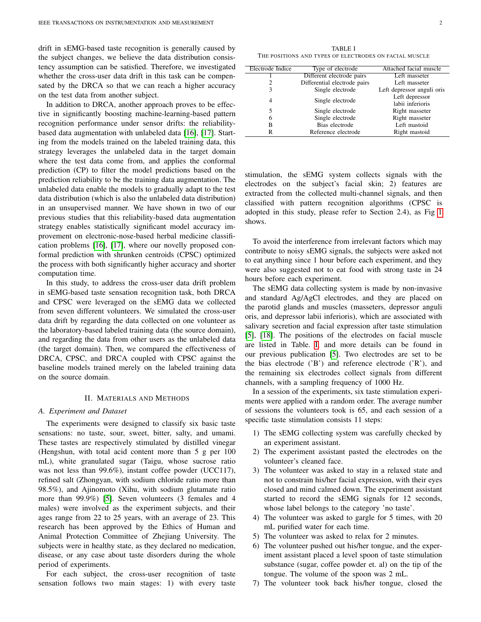drift in sEMG-based taste recognition is generally caused by the subject changes, we believe the data distribution consistency assumption can be satisfied. Therefore, we investigated whether the cross-user data drift in this task can be compensated by the DRCA so that we can reach a higher accuracy on the test data from another subject.

In addition to DRCA, another approach proves to be effective in significantly boosting machine-learning-based pattern recognition performance under sensor drifts: the reliabilitybased data augmentation with unlabeled data [\[16\]](#page-9-1), [\[17\]](#page-9-2). Starting from the models trained on the labeled training data, this strategy leverages the unlabeled data in the target domain where the test data come from, and applies the conformal prediction (CP) to filter the model predictions based on the prediction reliability to be the training data augmentation. The unlabeled data enable the models to gradually adapt to the test data distribution (which is also the unlabeled data distribution) in an unsupervised manner. We have shown in two of our previous studies that this reliability-based data augmentation strategy enables statistically significant model accuracy improvement on electronic-nose-based herbal medicine classification problems [\[16\]](#page-9-1), [\[17\]](#page-9-2), where our novelly proposed conformal prediction with shrunken centroids (CPSC) optimized the process with both significantly higher accuracy and shorter computation time.

In this study, to address the cross-user data drift problem in sEMG-based taste sensation recognition task, both DRCA and CPSC were leveraged on the sEMG data we collected from seven different volunteers. We simulated the cross-user data drift by regarding the data collected on one volunteer as the laboratory-based labeled training data (the source domain), and regarding the data from other users as the unlabeled data (the target domain). Then, we compared the effectiveness of DRCA, CPSC, and DRCA coupled with CPSC against the baseline models trained merely on the labeled training data on the source domain.

## II. MATERIALS AND METHODS

## *A. Experiment and Dataset*

The experiments were designed to classify six basic taste sensations: no taste, sour, sweet, bitter, salty, and umami. These tastes are respectively stimulated by distilled vinegar (Hengshun, with total acid content more than 5 g per 100 mL), white granulated sugar (Taigu, whose sucrose ratio was not less than 99.6%), instant coffee powder (UCC117), refined salt (Zhongyan, with sodium chloride ratio more than 98.5%), and Ajinomoto (Xihu, with sodium glutamate ratio more than 99.9%) [\[5\]](#page-8-3). Seven volunteers (3 females and 4 males) were involved as the experiment subjects, and their ages range from 22 to 25 years, with an average of 23. This research has been approved by the Ethics of Human and Animal Protection Committee of Zhejiang University. The subjects were in healthy state, as they declared no medication, disease, or any case about taste disorders during the whole period of experiments.

For each subject, the cross-user recognition of taste sensation follows two main stages: 1) with every taste

<span id="page-1-0"></span>TABLE I THE POSITIONS AND TYPES OF ELECTRODES ON FACIAL MUSCLE

| Electrode Indice | Type of electrode            | Attached facial muscle     |  |
|------------------|------------------------------|----------------------------|--|
|                  | Different electrode pairs    | Left masseter              |  |
| 2                | Differential electrode pairs | Left masseter              |  |
| 3                | Single electrode             | Left depressor anguli oris |  |
| 4                | Single electrode             | Left depressor             |  |
|                  |                              | labii inferioris           |  |
| 5                | Single electrode             | Right masseter             |  |
| 6                | Single electrode             | Right masseter             |  |
| B                | Bias electrode               | Left mastoid               |  |
| R                | Reference electrode          | Right mastoid              |  |
|                  |                              |                            |  |

stimulation, the sEMG system collects signals with the electrodes on the subject's facial skin; 2) features are extracted from the collected multi-channel signals, and then classified with pattern recognition algorithms (CPSC is adopted in this study, please refer to Section 2.4), as Fig [1](#page-2-0) shows.

To avoid the interference from irrelevant factors which may contribute to noisy sEMG signals, the subjects were asked not to eat anything since 1 hour before each experiment, and they were also suggested not to eat food with strong taste in 24 hours before each experiment.

The sEMG data collecting system is made by non-invasive and standard Ag/AgCl electrodes, and they are placed on the parotid glands and muscles (masseters, depressor anguli oris, and depressor labii inferioris), which are associated with salivary secretion and facial expression after taste stimulation [\[5\]](#page-8-3), [\[18\]](#page-9-3). The positions of the electrodes on facial muscle are listed in Table. [I,](#page-1-0) and more details can be found in our previous publication [\[5\]](#page-8-3). Two electrodes are set to be the bias electrode ('B') and reference electrode ('R'), and the remaining six electrodes collect signals from different channels, with a sampling frequency of 1000 Hz.

In a session of the experiments, six taste stimulation experiments were applied with a random order. The average number of sessions the volunteers took is 65, and each session of a specific taste stimulation consists 11 steps:

- 1) The sEMG collecting system was carefully checked by an experiment assistant.
- 2) The experiment assistant pasted the electrodes on the volunteer's cleaned face.
- 3) The volunteer was asked to stay in a relaxed state and not to constrain his/her facial expression, with their eyes closed and mind calmed down. The experiment assistant started to record the sEMG signals for 12 seconds, whose label belongs to the category 'no taste'.
- 4) The volunteer was asked to gargle for 5 times, with 20 mL purified water for each time.
- 5) The volunteer was asked to relax for 2 minutes.
- 6) The volunteer pushed out his/her tongue, and the experiment assistant placed a level spoon of taste stimulation substance (sugar, coffee powder et. al) on the tip of the tongue. The volume of the spoon was 2 mL.
- 7) The volunteer took back his/her tongue, closed the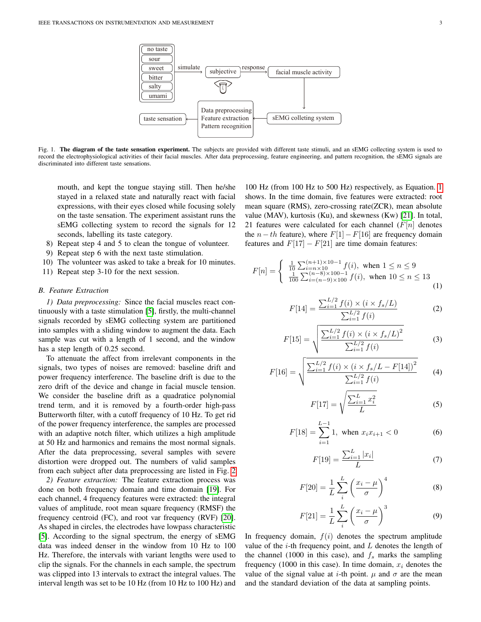

<span id="page-2-0"></span>Fig. 1. The diagram of the taste sensation experiment. The subjects are provided with different taste stimuli, and an sEMG collecting system is used to record the electrophysiological activities of their facial muscles. After data preprocessing, feature engineering, and pattern recognition, the sEMG signals are discriminated into different taste sensations.

mouth, and kept the tongue staying still. Then he/she stayed in a relaxed state and naturally react with facial expressions, with their eyes closed while focusing solely on the taste sensation. The experiment assistant runs the sEMG collecting system to record the signals for 12 seconds, labelling its taste category.

- 8) Repeat step 4 and 5 to clean the tongue of volunteer.
- 9) Repeat step 6 with the next taste stimulation.
- 10) The volunteer was asked to take a break for 10 minutes.
- 11) Repeat step 3-10 for the next session.

# *B. Feature Extraction*

*1) Data preprocessing:* Since the facial muscles react continuously with a taste stimulation [\[5\]](#page-8-3), firstly, the multi-channel signals recorded by sEMG collecting system are partitioned into samples with a sliding window to augment the data. Each sample was cut with a length of 1 second, and the window has a step length of 0.25 second.

To attenuate the affect from irrelevant components in the signals, two types of noises are removed: baseline drift and power frequency interference. The baseline drift is due to the zero drift of the device and change in facial muscle tension. We consider the baseline drift as a quadratice polynomial trend term, and it is removed by a fourth-order high-pass Butterworth filter, with a cutoff frequency of 10 Hz. To get rid of the power frequency interference, the samples are processed with an adaptive notch filter, which utilizes a high amplitude at 50 Hz and harmonics and remains the most normal signals. After the data preprocessing, several samples with severe distortion were dropped out. The numbers of valid samples from each subject after data preprocessing are listed in Fig. [2](#page-4-0)

*2) Feature extraction:* The feature extraction process was done on both frequency domain and time domain [\[19\]](#page-9-4). For each channel, 4 frequency features were extracted: the integral values of amplitude, root mean square frequency (RMSF) the frequency centroid (FC), and root var frequency (RVF) [\[20\]](#page-9-5). As shaped in circles, the electrodes have lowpass characteristic [\[5\]](#page-8-3). According to the signal spectrum, the energy of sEMG data was indeed denser in the window from 10 Hz to 100 Hz. Therefore, the intervals with variant lengths were used to clip the signals. For the channels in each sample, the spectrum was clipped into 13 intervals to extract the integral values. The interval length was set to be 10 Hz (from 10 Hz to 100 Hz) and

100 Hz (from 100 Hz to 500 Hz) respectively, as Equation. [1](#page-2-1) shows. In the time domain, five features were extracted: root mean square (RMS), zero-crossing rate(ZCR), mean absolute value (MAV), kurtosis (Ku), and skewness (Kw) [\[21\]](#page-9-6). In total, 21 features were calculated for each channel  $(F[n])$  denotes the  $n-th$  feature), where  $F[1]-F[16]$  are frequency domain features and  $F[17] - F[21]$  are time domain features:

<span id="page-2-1"></span>
$$
F[n] = \begin{cases} \frac{1}{10} \sum_{i=n \times 10}^{(n+1) \times 10-1} f(i), \text{ when } 1 \le n \le 9\\ \frac{1}{100} \sum_{i=(n-9) \times 100}^{(n-8) \times 100-1} f(i), \text{ when } 10 \le n \le 13 \end{cases}
$$
(1)

$$
F[14] = \frac{\sum_{i=1}^{L/2} f(i) \times (i \times f_s/L)}{\sum_{i=1}^{L/2} f(i)}
$$
(2)

$$
F[15] = \sqrt{\frac{\sum_{i=1}^{L/2} f(i) \times (i \times f_s/L)^2}{\sum_{i=1}^{L/2} f(i)}}\tag{3}
$$

$$
F[16] = \sqrt{\frac{\sum_{i=1}^{L/2} f(i) \times (i \times f_s/L - F[14])^2}{\sum_{i=1}^{L/2} f(i)}} \tag{4}
$$

$$
F[17] = \sqrt{\frac{\sum_{i=1}^{L} x_i^2}{L}}
$$
 (5)

$$
F[18] = \sum_{i=1}^{L-1} 1, \text{ when } x_i x_{i+1} < 0 \tag{6}
$$

$$
F[19] = \frac{\sum_{i=1}^{L} |x_i|}{L} \tag{7}
$$

$$
F[20] = \frac{1}{L} \sum_{i}^{L} \left(\frac{x_i - \mu}{\sigma}\right)^4 \tag{8}
$$

$$
F[21] = \frac{1}{L} \sum_{i}^{L} \left(\frac{x_i - \mu}{\sigma}\right)^3 \tag{9}
$$

In frequency domain,  $f(i)$  denotes the spectrum amplitude value of the  $i$ -th frequency point, and  $L$  denotes the length of the channel (1000 in this case), and  $f_s$  marks the sampling frequency (1000 in this case). In time domain,  $x_i$  denotes the value of the signal value at *i*-th point.  $\mu$  and  $\sigma$  are the mean and the standard deviation of the data at sampling points.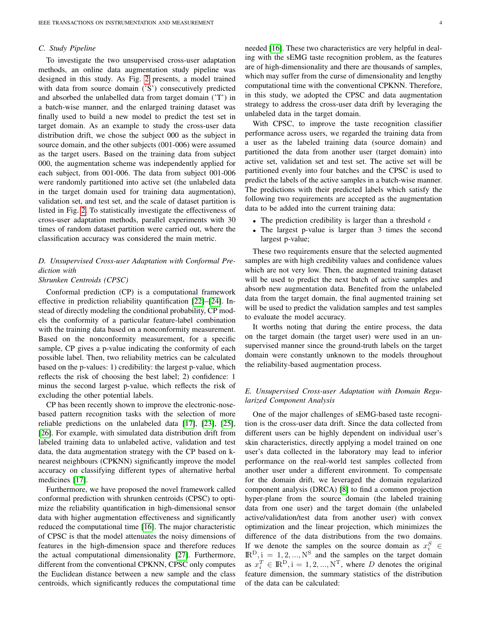# *C. Study Pipeline*

To investigate the two unsupervised cross-user adaptation methods, an online data augmentation study pipeline was designed in this study. As Fig. [2](#page-4-0) presents, a model trained with data from source domain ('S') consecutively predicted and absorbed the unlabelled data from target domain ('T') in a batch-wise manner, and the enlarged training dataset was finally used to build a new model to predict the test set in target domain. As an example to study the cross-user data distribution drift, we chose the subject 000 as the subject in source domain, and the other subjects (001-006) were assumed as the target users. Based on the training data from subject 000, the augmentation scheme was independently applied for each subject, from 001-006. The data from subject 001-006 were randomly partitioned into active set (the unlabeled data in the target domain used for training data augmentation), validation set, and test set, and the scale of dataset partition is listed in Fig. [2.](#page-4-0) To statistically investigate the effectiveness of cross-user adaptation methods, parallel experiments with 30 times of random dataset partition were carried out, where the classification accuracy was considered the main metric.

# *D. Unsupervised Cross-user Adaptation with Conformal Prediction with*

# *Shrunken Centroids (CPSC)*

Conformal prediction (CP) is a computational framework effective in prediction reliability quantification [\[22\]](#page-9-7)–[\[24\]](#page-9-8). Instead of directly modeling the conditional probability, CP models the conformity of a particular feature-label combination with the training data based on a nonconformity measurement. Based on the nonconformity measurement, for a specific sample, CP gives a p-value indicating the conformity of each possible label. Then, two reliability metrics can be calculated based on the p-values: 1) credibility: the largest p-value, which reflects the risk of choosing the best label; 2) confidence: 1 minus the second largest p-value, which reflects the risk of excluding the other potential labels.

CP has been recently shown to improve the electronic-nosebased pattern recognition tasks with the selection of more reliable predictions on the unlabeled data [\[17\]](#page-9-2), [\[23\]](#page-9-9), [\[25\]](#page-9-10), [\[26\]](#page-9-11). For example, with simulated data distribution drift from labeled training data to unlabeled active, validation and test data, the data augmentation strategy with the CP based on knearest neighbours (CPKNN) significantly improve the model accuracy on classifying different types of alternative herbal medicines [\[17\]](#page-9-2).

Furthermore, we have proposed the novel framework called conformal prediction with shrunken centroids (CPSC) to optimize the reliability quantification in high-dimensional sensor data with higher augmentation effectiveness and significantly reduced the computational time [\[16\]](#page-9-1). The major characteristic of CPSC is that the model attenuates the noisy dimensions of features in the high-dimension space and therefore reduces the actual computational dimensionality [\[27\]](#page-9-12). Furthermore, different from the conventional CPKNN, CPSC only computes the Euclidean distance between a new sample and the class centroids, which significantly reduces the computational time needed [\[16\]](#page-9-1). These two characteristics are very helpful in dealing with the sEMG taste recognition problem, as the features are of high-dimensionality and there are thousands of samples, which may suffer from the curse of dimensionality and lengthy computational time with the conventional CPKNN. Therefore, in this study, we adopted the CPSC and data augmentation strategy to address the cross-user data drift by leveraging the unlabeled data in the target domain.

With CPSC, to improve the taste recognition classifier performance across users, we regarded the training data from a user as the labeled training data (source domain) and partitioned the data from another user (target domain) into active set, validation set and test set. The active set will be partitioned evenly into four batches and the CPSC is used to predict the labels of the active samples in a batch-wise manner. The predictions with their predicted labels which satisfy the following two requirements are accepted as the augmentation data to be added into the current training data:

- The prediction credibility is larger than a threshold  $\epsilon$
- The largest p-value is larger than 3 times the second largest p-value;

These two requirements ensure that the selected augmented samples are with high credibility values and confidence values which are not very low. Then, the augmented training dataset will be used to predict the next batch of active samples and absorb new augmentation data. Benefited from the unlabeled data from the target domain, the final augmented training set will be used to predict the validation samples and test samples to evaluate the model accuracy.

It worths noting that during the entire process, the data on the target domain (the target user) were used in an unsupervised manner since the ground-truth labels on the target domain were constantly unknown to the models throughout the reliability-based augmentation process.

# *E. Unsupervised Cross-user Adaptation with Domain Regularized Component Analysis*

One of the major challenges of sEMG-based taste recognition is the cross-user data drift. Since the data collected from different users can be highly dependent on individual user's skin characteristics, directly applying a model trained on one user's data collected in the laboratory may lead to inferior performance on the real-world test samples collected from another user under a different environment. To compensate for the domain drift, we leveraged the domain regularized component analysis (DRCA) [\[8\]](#page-8-6) to find a common projection hyper-plane from the source domain (the labeled training data from one user) and the target domain (the unlabeled active/validation/test data from another user) with convex optimization and the linear projection, which minimizes the difference of the data distributions from the two domains. If we denote the samples on the source domain as  $x_i^S \in$  $\mathbb{R}^D$ , i = 1, 2, ...,  $N^S$  and the samples on the target domain as  $x_i^T \in \mathbb{R}^D$ ,  $i = 1, 2, ..., N^T$ , where D denotes the original feature dimension, the summary statistics of the distribution of the data can be calculated: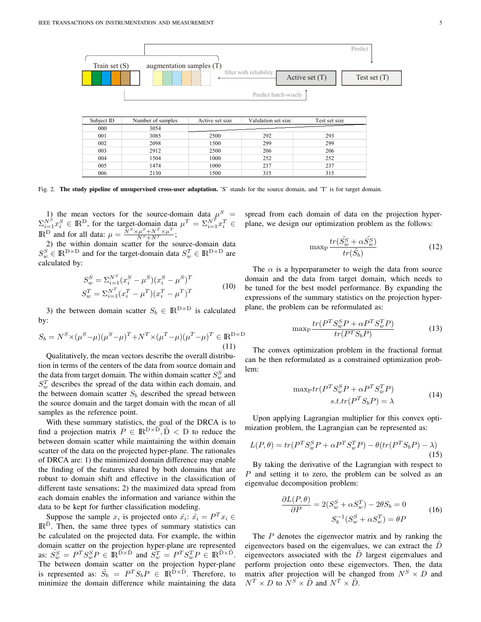

| 001 | 3085 | 2500 | 292 | 293 |
|-----|------|------|-----|-----|
| 002 | 2098 | 1500 | 299 | 299 |
| 003 | 2912 | 2500 | 206 | 206 |
| 004 | 1504 | 1000 | 252 | 252 |
| 005 | 1474 | 1000 | 237 | 237 |
| 006 | 2130 | 1500 | 315 | 315 |

<span id="page-4-0"></span>Fig. 2. The study pipeline of unsupervised cross-user adaptation. 'S' stands for the source domain, and 'T' is for target domain.

1) the mean vectors for the source-domain data  $\mu^S$  =  $\Sigma_{i=1}^{N^S} x_i^S \in \mathbb{R}^D$ , for the target-domain data  $\mu^T = \Sigma_{i=1}^{N^T} x_i^T \in$ IR<sup>D</sup> and for all data:  $\mu = \frac{\overline{N}^S \times \mu^S + N^T \times \mu^T}{N^S + N^T};$ 

2) the within domain scatter for the source-domain data  $S_w^S \in \mathbb{R}^{D \times D}$  and for the target-domain data  $S_w^T \in \mathbb{R}^{D \times D}$  are calculated by:

$$
S_w^S = \sum_{i=1}^{N^S} (x_i^S - \mu^S)(x_i^S - \mu^S)^T
$$
  
\n
$$
S_w^T = \sum_{i=1}^{N^T} (x_i^T - \mu^T)(x_i^T - \mu^T)^T
$$
\n(10)

3) the between domain scatter  $S_b \in \mathbb{R}^{D \times D}$  is calculated by:

$$
S_b = N^S \times (\mu^S - \mu)(\mu^S - \mu)^T + N^T \times (\mu^T - \mu)(\mu^T - \mu)^T \in \mathbb{R}^{D \times D}
$$
\n(11)

Qualitatively, the mean vectors describe the overall distribution in terms of the centers of the data from source domain and the data from target domain. The within domain scatter  $S_w^S$  and  $S_w^T$  describes the spread of the data within each domain, and the between domain scatter  $S_b$  described the spread between the source domain and the target domain with the mean of all samples as the reference point.

With these summary statistics, the goal of the DRCA is to find a projection matrix  $P \in \mathbb{R}^{D \times \tilde{D}}$ ,  $\tilde{D}$  < D to reduce the between domain scatter while maintaining the within domain scatter of the data on the projected hyper-plane. The rationales of DRCA are: 1) the minimized domain difference may enable the finding of the features shared by both domains that are robust to domain shift and effective in the classification of different taste sensations; 2) the maximized data spread from each domain enables the information and variance within the data to be kept for further classification modeling.

Suppose the sample  $x_i$  is projected onto  $\tilde{x_i}$ :  $\tilde{x_i} = P^T x_i \in$ IR<sup>D</sup>. Then, the same three types of summary statistics can be calculated on the projected data. For example, the within domain scatter on the projection hyper-plane are represented as:  $\tilde{S}_w^S = P^T S_w^S P \in \mathbb{R}^{\tilde{D} \times \tilde{D}}$  and  $\tilde{S}_w^T = P^T S_w^T P \in \mathbb{R}^{\tilde{D} \times \tilde{D}}$ . The between domain scatter on the projection hyper-plane is represented as:  $\tilde{S}_b = P^T S_b P \in \mathbb{R}^{\tilde{D} \times \tilde{D}}$ . Therefore, to minimize the domain difference while maintaining the data spread from each domain of data on the projection hyperplane, we design our optimization problem as the follows:

$$
\max_{P} \frac{tr(\tilde{S}_w^S + \alpha \tilde{S}_w^S)}{tr(\tilde{S}_b)}
$$
\n(12)

The  $\alpha$  is a hyperparameter to weigh the data from source domain and the data from target domain, which needs to be tuned for the best model performance. By expanding the expressions of the summary statistics on the projection hyperplane, the problem can be reformulated as:

$$
\max_{P} \frac{tr(P^T S_w^S P + \alpha P^T S_w^T P)}{tr(P^T S_b P)}
$$
(13)

The convex optimization problem in the fractional format can be then reformulated as a constrained optimization problem:

$$
\begin{aligned} \max_{\mathbf{P}} tr(P^T S_w^S P + \alpha P^T S_w^T P) \\ s.t. tr(P^T S_b P) = \lambda \end{aligned} \tag{14}
$$

Upon applying Lagrangian multiplier for this convex optimization problem, the Lagrangian can be represented as:

$$
L(P,\theta) = tr(P^T S_w^S P + \alpha P^T S_w^T P) - \theta (tr(P^T S_b P) - \lambda)
$$
\n(15)

By taking the derivative of the Lagrangian with respect to P and setting it to zero, the problem can be solved as an eigenvalue decomposition problem:

$$
\frac{\partial L(P,\theta)}{\partial P} = 2(S_w^S + \alpha S_w^T) - 2\theta S_b = 0
$$
  

$$
S_b^{-1}(S_w^S + \alpha S_w^T) = \theta P
$$
 (16)

The P denotes the eigenvector matrix and by ranking the eigenvectors based on the eigenvalues, we can extract the  $D$ eigenvectors associated with the  $D$  largest eigenvalues and perform projection onto these eigenvectors. Then, the data matrix after projection will be changed from  $N^S \times D$  and  $N^T \times D$  to  $N^S \times \tilde{D}$  and  $N^T \times \tilde{D}$ .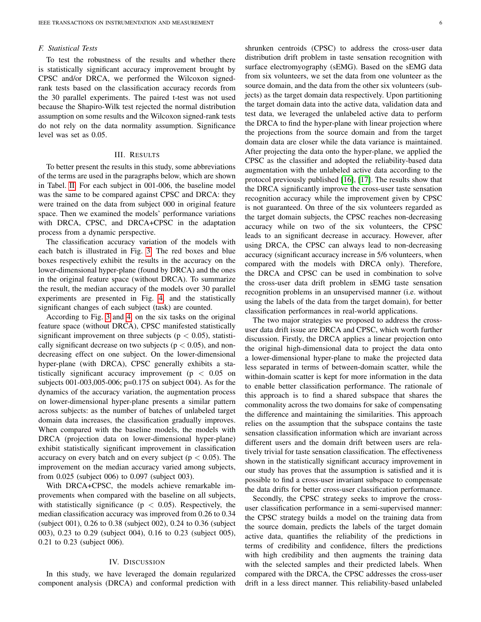## *F. Statistical Tests*

To test the robustness of the results and whether there is statistically significant accuracy improvement brought by CPSC and/or DRCA, we performed the Wilcoxon signedrank tests based on the classification accuracy records from the 30 parallel experiments. The paired t-test was not used because the Shapiro-Wilk test rejected the normal distribution assumption on some results and the Wilcoxon signed-rank tests do not rely on the data normality assumption. Significance level was set as 0.05.

#### III. RESULTS

To better present the results in this study, some abbreviations of the terms are used in the paragraphs below, which are shown in Tabel. [II.](#page-7-0) For each subject in 001-006, the baseline model was the same to be compared against CPSC and DRCA: they were trained on the data from subject 000 in original feature space. Then we examined the models' performance variations with DRCA, CPSC, and DRCA+CPSC in the adaptation process from a dynamic perspective.

The classification accuracy variation of the models with each batch is illustrated in Fig. [3.](#page-6-0) The red boxes and blue boxes respectively exhibit the results in the accuracy on the lower-dimensional hyper-plane (found by DRCA) and the ones in the original feature space (without DRCA). To summarize the result, the median accuracy of the models over 30 parallel experiments are presented in Fig. [4,](#page-7-1) and the statistically significant changes of each subject (task) are counted.

According to Fig. [3](#page-6-0) and [4,](#page-7-1) on the six tasks on the original feature space (without DRCA), CPSC manifested statistically significant improvement on three subjects ( $p < 0.05$ ), statistically significant decrease on two subjects ( $p < 0.05$ ), and nondecreasing effect on one subject. On the lower-dimensional hyper-plane (with DRCA), CPSC generally exhibits a statistically significant accuracy improvement ( $p < 0.05$  on subjects 001-003,005-006; p=0.175 on subject 004). As for the dynamics of the accuracy variation, the augmentation process on lower-dimensional hyper-plane presents a similar pattern across subjects: as the number of batches of unlabeled target domain data increases, the classification gradually improves. When compared with the baseline models, the models with DRCA (projection data on lower-dimensional hyper-plane) exhibit statistically significant improvement in classification accuracy on every batch and on every subject ( $p < 0.05$ ). The improvement on the median accuracy varied among subjects, from 0.025 (subject 006) to 0.097 (subject 003).

With DRCA+CPSC, the models achieve remarkable improvements when compared with the baseline on all subjects, with statistically significance ( $p < 0.05$ ). Respectively, the median classification accuracy was improved from 0.26 to 0.34 (subject 001), 0.26 to 0.38 (subject 002), 0.24 to 0.36 (subject 003), 0.23 to 0.29 (subject 004), 0.16 to 0.23 (subject 005), 0.21 to 0.23 (subject 006).

## IV. DISCUSSION

In this study, we have leveraged the domain regularized component analysis (DRCA) and conformal prediction with

shrunken centroids (CPSC) to address the cross-user data distribution drift problem in taste sensation recognition with surface electromyography (sEMG). Based on the sEMG data from six volunteers, we set the data from one volunteer as the source domain, and the data from the other six volunteers (subjects) as the target domain data respectively. Upon partitioning the target domain data into the active data, validation data and test data, we leveraged the unlabeled active data to perform the DRCA to find the hyper-plane with linear projection where the projections from the source domain and from the target domain data are closer while the data variance is maintained. After projecting the data onto the hyper-plane, we applied the CPSC as the classifier and adopted the reliability-based data augmentation with the unlabeled active data according to the protocol previously published [\[16\]](#page-9-1), [\[17\]](#page-9-2). The results show that the DRCA significantly improve the cross-user taste sensation recognition accuracy while the improvement given by CPSC is not guaranteed. On three of the six volunteers regarded as the target domain subjects, the CPSC reaches non-decreasing accuracy while on two of the six volunteers, the CPSC leads to an significant decrease in accuracy. However, after using DRCA, the CPSC can always lead to non-decreasing accuracy (significant accuracy increase in 5/6 volunteers, when compared with the models with DRCA only). Therefore, the DRCA and CPSC can be used in combination to solve the cross-user data drift problem in sEMG taste sensation recognition problems in an unsupervised manner (i.e. without using the labels of the data from the target domain), for better classification performances in real-world applications.

The two major strategies we proposed to address the crossuser data drift issue are DRCA and CPSC, which worth further discussion. Firstly, the DRCA applies a linear projection onto the original high-dimensional data to project the data onto a lower-dimensional hyper-plane to make the projected data less separated in terms of between-domain scatter, while the within-domain scatter is kept for more information in the data to enable better classification performance. The rationale of this approach is to find a shared subspace that shares the commonality across the two domains for sake of compensating the difference and maintaining the similarities. This approach relies on the assumption that the subspace contains the taste sensation classification information which are invariant across different users and the domain drift between users are relatively trivial for taste sensation classification. The effectiveness shown in the statistically significant accuracy improvement in our study has proves that the assumption is satisfied and it is possible to find a cross-user invariant subspace to compensate the data drifts for better cross-user classification performance.

Secondly, the CPSC strategy seeks to improve the crossuser classification performance in a semi-supervised manner: the CPSC strategy builds a model on the training data from the source domain, predicts the labels of the target domain active data, quantifies the reliability of the predictions in terms of credibility and confidence, filters the predictions with high credibility and then augments the training data with the selected samples and their predicted labels. When compared with the DRCA, the CPSC addresses the cross-user drift in a less direct manner. This reliability-based unlabeled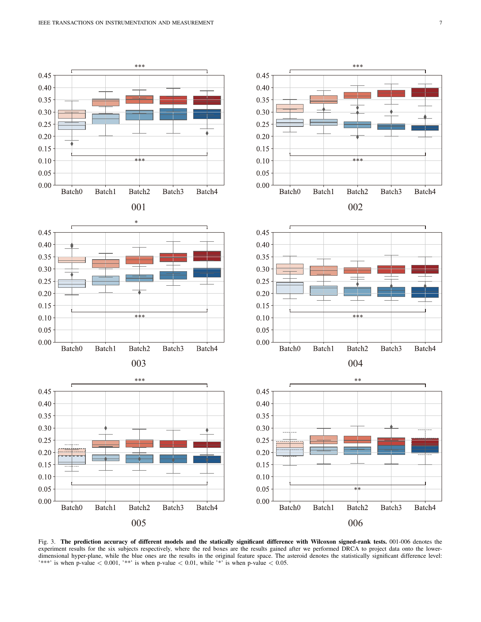

<span id="page-6-0"></span>Fig. 3. The prediction accuracy of different models and the statically significant difference with Wilcoxon signed-rank tests. 001-006 denotes the experiment results for the six subjects respectively, where the red boxes are the results gained after we performed DRCA to project data onto the lowerdimensional hyper-plane, while the blue ones are the results in the original feature space. The asteroid denotes the statistically significant difference level: '\*\*\*' is when p-value  $< 0.001$ , '\*\*' is when p-value  $< 0.01$ , while '\*' is when p-value  $< 0.05$ .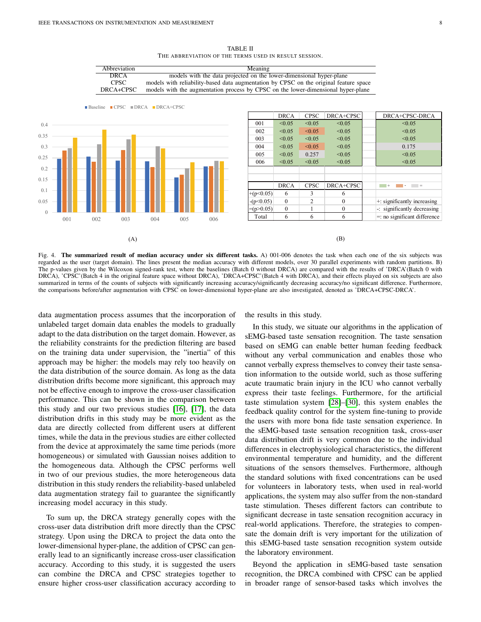<span id="page-7-0"></span>

Abbreviation Meaning

TABLE II THE ABBREVIATION OF THE TERMS USED IN RESULT SESSION.

DRCA models with the data projected on the lower-dimensional hyper-plane CPSC models with reliability-based data augmentation by CPSC on the original feature space

<span id="page-7-1"></span>Fig. 4. The summarized result of median accuracy under six different tasks. A) 001-006 denotes the task when each one of the six subjects was regarded as the user (target domain). The lines present the median accuracy with different models, over 30 parallel experiments with random partitions. B) The p-values given by the Wilcoxon signed-rank test, where the baselines (Batch 0 without DRCA) are compared with the results of 'DRCA'(Batch 0 with DRCA), 'CPSC'(Batch 4 in the original feature space without DRCA), 'DRCA+CPSC'(Batch 4 with DRCA), and their effects played on six subjects are also summarized in terms of the counts of subjects with significantly increasing accuracy/significantly decreasing accuracy/no significant difference. Furthermore, the comparisons before/after augmentation with CPSC on lower-dimensional hyper-plane are also investigated, denoted as 'DRCA+CPSC-DRCA'.

data augmentation process assumes that the incorporation of unlabeled target domain data enables the models to gradually adapt to the data distribution on the target domain. However, as the reliability constraints for the prediction filtering are based on the training data under supervision, the "inertia" of this approach may be higher: the models may rely too heavily on the data distribution of the source domain. As long as the data distribution drifts become more significant, this approach may not be effective enough to improve the cross-user classification performance. This can be shown in the comparison between this study and our two previous studies [\[16\]](#page-9-1), [\[17\]](#page-9-2), the data distribution drifts in this study may be more evident as the data are directly collected from different users at different times, while the data in the previous studies are either collected from the device at approximately the same time periods (more homogeneous) or simulated with Gaussian noises addition to the homogeneous data. Although the CPSC performs well in two of our previous studies, the more heterogeneous data distribution in this study renders the reliability-based unlabeled data augmentation strategy fail to guarantee the significantly increasing model accuracy in this study.

To sum up, the DRCA strategy generally copes with the cross-user data distribution drift more directly than the CPSC strategy. Upon using the DRCA to project the data onto the lower-dimensional hyper-plane, the addition of CPSC can generally lead to an significantly increase cross-user classification accuracy. According to this study, it is suggested the users can combine the DRCA and CPSC strategies together to ensure higher cross-user classification accuracy according to the results in this study.

In this study, we situate our algorithms in the application of sEMG-based taste sensation recognition. The taste sensation based on sEMG can enable better human feeding feedback without any verbal communication and enables those who cannot verbally express themselves to convey their taste sensation information to the outside world, such as those suffering acute traumatic brain injury in the ICU who cannot verbally express their taste feelings. Furthermore, for the artificial taste stimulation system [\[28\]](#page-9-13)–[\[30\]](#page-9-14), this system enables the feedback quality control for the system fine-tuning to provide the users with more bona fide taste sensation experience. In the sEMG-based taste sensation recognition task, cross-user data distribution drift is very common due to the individual differences in electrophysiological characteristics, the different environmental temperature and humidity, and the different situations of the sensors themselves. Furthermore, although the standard solutions with fixed concentrations can be used for volunteers in laboratory tests, when used in real-world applications, the system may also suffer from the non-standard taste stimulation. Theses different factors can contribute to significant decrease in taste sensation recognition accuracy in real-world applications. Therefore, the strategies to compensate the domain drift is very important for the utilization of this sEMG-based taste sensation recognition system outside the laboratory environment.

Beyond the application in sEMG-based taste sensation recognition, the DRCA combined with CPSC can be applied in broader range of sensor-based tasks which involves the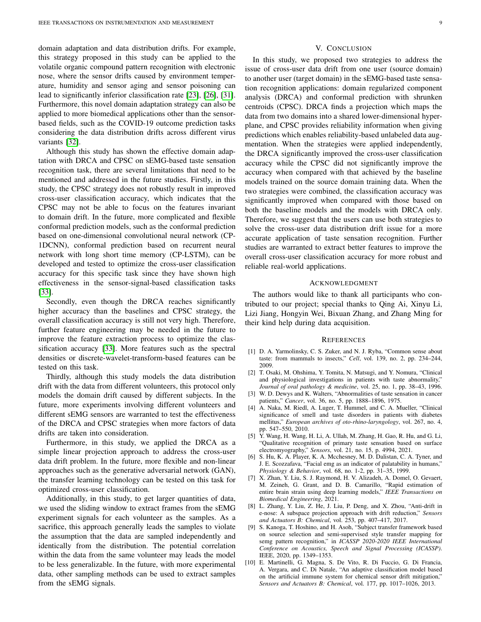domain adaptation and data distribution drifts. For example, this strategy proposed in this study can be applied to the volatile organic compound pattern recognition with electronic nose, where the sensor drifts caused by environment temperature, humidity and sensor aging and sensor poisoning can lead to significantly inferior classification rate [\[23\]](#page-9-9), [\[26\]](#page-9-11), [\[31\]](#page-9-15). Furthermore, this novel domain adaptation strategy can also be applied to more biomedical applications other than the sensorbased fields, such as the COVID-19 outcome prediction tasks considering the data distribution drifts across different virus variants [\[32\]](#page-9-16).

Although this study has shown the effective domain adaptation with DRCA and CPSC on sEMG-based taste sensation recognition task, there are several limitations that need to be mentioned and addressed in the future studies. Firstly, in this study, the CPSC strategy does not robustly result in improved cross-user classification accuracy, which indicates that the CPSC may not be able to focus on the features invariant to domain drift. In the future, more complicated and flexible conformal prediction models, such as the conformal prediction based on one-dimensional convolutional neural network (CP-1DCNN), conformal prediction based on recurrent neural network with long short time memory (CP-LSTM), can be developed and tested to optimize the cross-user classification accuracy for this specific task since they have shown high effectiveness in the sensor-signal-based classification tasks [\[33\]](#page-9-17).

Secondly, even though the DRCA reaches significantly higher accuracy than the baselines and CPSC strategy, the overall classification accuracy is still not very high. Therefore, further feature engineering may be needed in the future to improve the feature extraction process to optimize the classification accuracy [\[33\]](#page-9-17). More features such as the spectral densities or discrete-wavelet-transform-based features can be tested on this task.

Thirdly, although this study models the data distribution drift with the data from different volunteers, this protocol only models the domain drift caused by different subjects. In the future, more experiments involving different volunteers and different sEMG sensors are warranted to test the effectiveness of the DRCA and CPSC strategies when more factors of data drifts are taken into consideration.

Furthermore, in this study, we applied the DRCA as a simple linear projection approach to address the cross-user data drift problem. In the future, more flexible and non-linear approaches such as the generative adversarial network (GAN), the transfer learning technology can be tested on this task for optimized cross-user classification.

Additionally, in this study, to get larger quantities of data, we used the sliding window to extract frames from the sEMG experiment signals for each volunteer as the samples. As a sacrifice, this approach generally leads the samples to violate the assumption that the data are sampled independently and identically from the distribution. The potential correlation within the data from the same volunteer may leads the model to be less generalizable. In the future, with more experimental data, other sampling methods can be used to extract samples from the sEMG signals.

## V. CONCLUSION

In this study, we proposed two strategies to address the issue of cross-user data drift from one user (source domain) to another user (target domain) in the sEMG-based taste sensation recognition applications: domain regularized component analysis (DRCA) and conformal prediction with shrunken centroids (CPSC). DRCA finds a projection which maps the data from two domains into a shared lower-dimensional hyperplane, and CPSC provides reliability information when giving predictions which enables reliability-based unlabeled data augmentation. When the strategies were applied independently, the DRCA significantly improved the cross-user classification accuracy while the CPSC did not significantly improve the accuracy when compared with that achieved by the baseline models trained on the source domain training data. When the two strategies were combined, the classification accuracy was significantly improved when compared with those based on both the baseline models and the models with DRCA only. Therefore, we suggest that the users can use both strategies to solve the cross-user data distribution drift issue for a more accurate application of taste sensation recognition. Further studies are warranted to extract better features to improve the overall cross-user classification accuracy for more robust and reliable real-world applications.

#### ACKNOWLEDGMENT

The authors would like to thank all participants who contributed to our project; special thanks to Qing Ai, Xinyu Li, Lizi Jiang, Hongyin Wei, Bixuan Zhang, and Zhang Ming for their kind help during data acquisition.

## **REFERENCES**

- <span id="page-8-0"></span>[1] D. A. Yarmolinsky, C. S. Zuker, and N. J. Ryba, "Common sense about taste: from mammals to insects," *Cell*, vol. 139, no. 2, pp. 234–244, 2009.
- <span id="page-8-1"></span>[2] T. Osaki, M. Ohshima, Y. Tomita, N. Matsugi, and Y. Nomura, "Clinical and physiological investigations in patients with taste abnormality," *Journal of oral pathology & medicine*, vol. 25, no. 1, pp. 38–43, 1996.
- [3] W. D. Dewys and K. Walters, "Abnormalities of taste sensation in cancer patients," *Cancer*, vol. 36, no. 5, pp. 1888–1896, 1975.
- <span id="page-8-2"></span>[4] A. Naka, M. Riedl, A. Luger, T. Hummel, and C. A. Mueller, "Clinical significance of smell and taste disorders in patients with diabetes mellitus," *European archives of oto-rhino-laryngology*, vol. 267, no. 4, pp. 547–550, 2010.
- <span id="page-8-3"></span>[5] Y. Wang, H. Wang, H. Li, A. Ullah, M. Zhang, H. Gao, R. Hu, and G. Li, "Qualitative recognition of primary taste sensation based on surface electromyography," *Sensors*, vol. 21, no. 15, p. 4994, 2021.
- <span id="page-8-4"></span>[6] S. Hu, K. A. Player, K. A. Mcchesney, M. D. Dalistan, C. A. Tyner, and J. E. Scozzafava, "Facial emg as an indicator of palatability in humans," *Physiology & Behavior*, vol. 68, no. 1-2, pp. 31–35, 1999.
- <span id="page-8-5"></span>[7] X. Zhan, Y. Liu, S. J. Raymond, H. V. Alizadeh, A. Domel, O. Gevaert, M. Zeineh, G. Grant, and D. B. Camarillo, "Rapid estimation of entire brain strain using deep learning models," *IEEE Transactions on Biomedical Engineering*, 2021.
- <span id="page-8-6"></span>[8] L. Zhang, Y. Liu, Z. He, J. Liu, P. Deng, and X. Zhou, "Anti-drift in e-nose: A subspace projection approach with drift reduction," *Sensors and Actuators B: Chemical*, vol. 253, pp. 407–417, 2017.
- <span id="page-8-7"></span>[9] S. Kanoga, T. Hoshino, and H. Asoh, "Subject transfer framework based on source selection and semi-supervised style transfer mapping for semg pattern recognition," in *ICASSP 2020-2020 IEEE International Conference on Acoustics, Speech and Signal Processing (ICASSP)*. IEEE, 2020, pp. 1349–1353.
- <span id="page-8-8"></span>[10] E. Martinelli, G. Magna, S. De Vito, R. Di Fuccio, G. Di Francia, A. Vergara, and C. Di Natale, "An adaptive classification model based on the artificial immune system for chemical sensor drift mitigation," *Sensors and Actuators B: Chemical*, vol. 177, pp. 1017–1026, 2013.